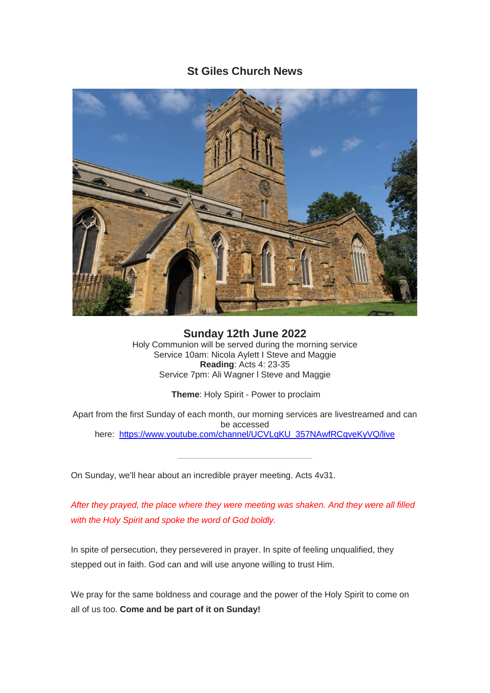# **St Giles Church News**



**Sunday 12th June 2022** Holy Communion will be served during the morning service Service 10am: Nicola Aylett I Steve and Maggie **Reading**: Acts 4: 23-35 Service 7pm: Ali Wagner l Steve and Maggie

**Theme**: Holy Spirit - Power to proclaim

Apart from the first Sunday of each month, our morning services are livestreamed and can be accessed here: [https://www.youtube.com/channel/UCVLqKU\\_357NAwfRCqveKyVQ/live](https://www.youtube.com/channel/UCVLqKU_357NAwfRCqveKyVQ/live)

On Sunday, we'll hear about an incredible prayer meeting. Acts 4v31.

*After they prayed, the place where they were meeting was shaken. And they were all filled with the Holy Spirit and spoke the word of God boldly.*

In spite of persecution, they persevered in prayer. In spite of feeling unqualified, they stepped out in faith. God can and will use anyone willing to trust Him.

We pray for the same boldness and courage and the power of the Holy Spirit to come on all of us too. **Come and be part of it on Sunday!**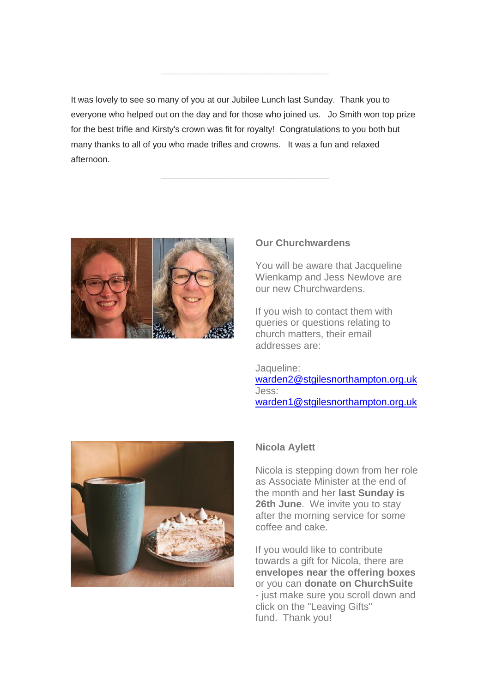It was lovely to see so many of you at our Jubilee Lunch last Sunday. Thank you to everyone who helped out on the day and for those who joined us. Jo Smith won top prize for the best trifle and Kirsty's crown was fit for royalty! Congratulations to you both but many thanks to all of you who made trifles and crowns. It was a fun and relaxed afternoon.



#### **Our Churchwardens**

You will be aware that Jacqueline Wienkamp and Jess Newlove are our new Churchwardens.

If you wish to contact them with queries or questions relating to church matters, their email addresses are:

Jaqueline: [warden2@stgilesnorthampton.org.uk](mailto:warden2@stgilesnorthampton.org.uk) Jess: [warden1@stgilesnorthampton.org.uk](mailto:warden1@stgilesnorthampton.org.uk)



# **Nicola Aylett**

Nicola is stepping down from her role as Associate Minister at the end of the month and her **last Sunday is 26th June**. We invite you to stay after the morning service for some coffee and cake.

If you would like to contribute towards a gift for Nicola, there are **envelopes near the offering boxes** or you can **donate on ChurchSuite**  - just make sure you scroll down and click on the "Leaving Gifts" fund. Thank you!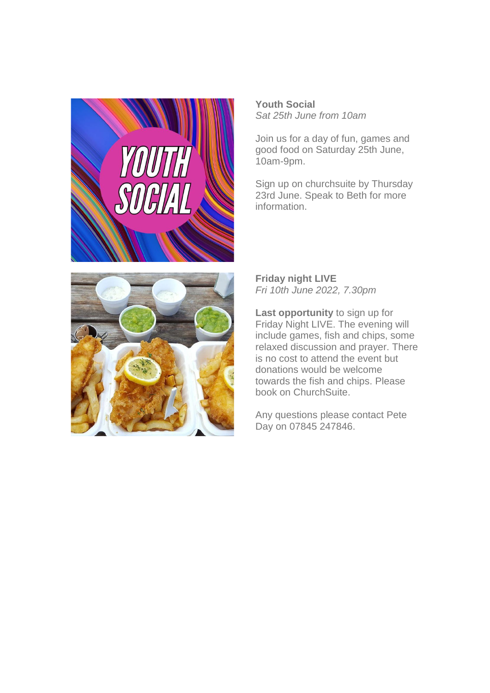

**Youth Social** *Sat 25th June from 10am*

Join us for a day of fun, games and good food on Saturday 25th June, 10am-9pm.

Sign up on churchsuite by Thursday 23rd June. Speak to Beth for more information.



**Friday night LIVE**  *Fri 10th June 2022, 7.30pm*

**Last opportunity** to sign up for Friday Night LIVE. The evening will include games, fish and chips, some relaxed discussion and prayer. There is no cost to attend the event but donations would be welcome towards the fish and chips. Please book on ChurchSuite.

Any questions please contact Pete Day on 07845 247846.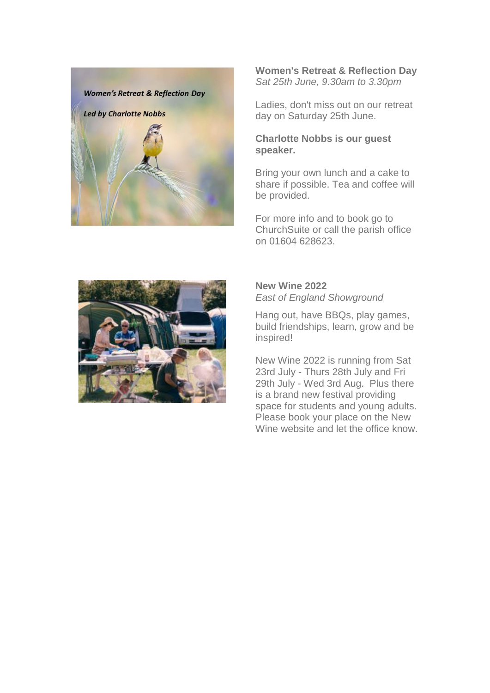

### **Women's Retreat & Reflection Day** *Sat 25th June, 9.30am to 3.30pm*

Ladies, don't miss out on our retreat day on Saturday 25th June.

# **Charlotte Nobbs is our guest speaker.**

Bring your own lunch and a cake to share if possible. Tea and coffee will be provided.

For more info and to book go to ChurchSuite or call the parish office on 01604 628623.



# **New Wine 2022** *East of England Showground*

Hang out, have BBQs, play games, build friendships, learn, grow and be inspired!

New Wine 2022 is running from Sat 23rd July - Thurs 28th July and Fri 29th July - Wed 3rd Aug. Plus there is a brand new festival providing space for students and young adults. Please book your place on the New Wine website and let the office know.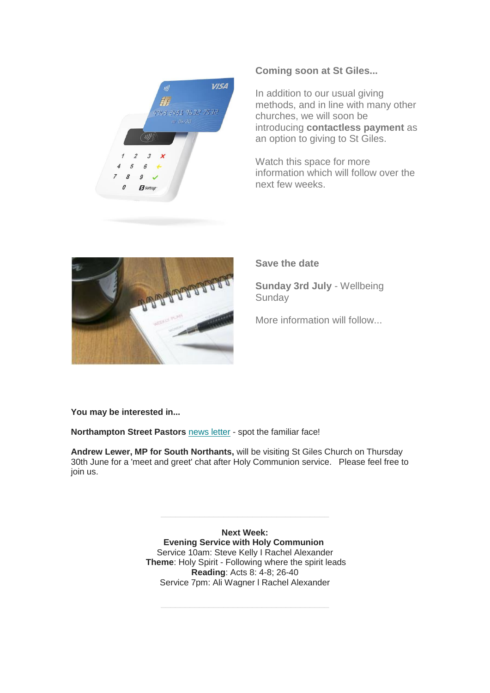

#### **Coming soon at St Giles...**

In addition to our usual giving methods, and in line with many other churches, we will soon be introducing **contactless payment** as an option to giving to St Giles.

Watch this space for more information which will follow over the next few weeks.



#### **Save the date**

**Sunday 3rd July** - Wellbeing **Sunday** 

More information will follow...

**You may be interested in...**

**Northampton Street Pastors** [news letter](https://mcusercontent.com/e45c62b51effcdbbeb9ee180e/files/1e02bf8e-d9c4-1ce2-5158-02f2ceb98d0c/Street_Pastor_News_letter.pdf) - spot the familiar face!

**Andrew Lewer, MP for South Northants,** will be visiting St Giles Church on Thursday 30th June for a 'meet and greet' chat after Holy Communion service. Please feel free to join us.

> **Next Week: Evening Service with Holy Communion** Service 10am: Steve Kelly I Rachel Alexander **Theme**: Holy Spirit - Following where the spirit leads **Reading**: Acts 8: 4-8; 26-40 Service 7pm: Ali Wagner l Rachel Alexander